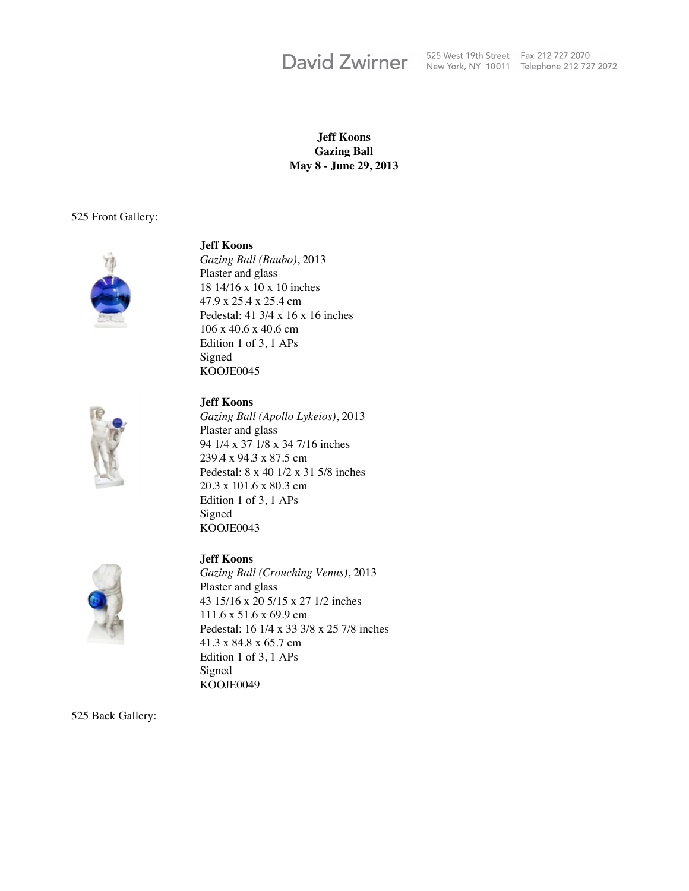# **David Zwirner**

525 West 19th Street Fax 212 727 2070 New York, NY 10011 Telephone 212 727 2072

#### **Jeff Koons Gazing Ball May 8 - June 29, 2013**

#### 525 Front Gallery:



#### **Jeff Koons**

*Gazing Ball (Baubo)*, 2013 Plaster and glass 18 14/16 x 10 x 10 inches 47.9 x 25.4 x 25.4 cm Pedestal: 41 3/4 x 16 x 16 inches 106 x 40.6 x 40.6 cm Edition 1 of 3, 1 APs Signed KOOJE0045



## **Jeff Koons**

*Gazing Ball (Apollo Lykeios)*, 2013 Plaster and glass 94 1/4 x 37 1/8 x 34 7/16 inches 239.4 x 94.3 x 87.5 cm Pedestal: 8 x 40 1/2 x 31 5/8 inches 20.3 x 101.6 x 80.3 cm Edition 1 of 3, 1 APs Signed KOOJE0043



#### **Jeff Koons**

*Gazing Ball (Crouching Venus)*, 2013 Plaster and glass 43 15/16 x 20 5/15 x 27 1/2 inches 111.6 x 51.6 x 69.9 cm Pedestal: 16 1/4 x 33 3/8 x 25 7/8 inches 41.3 x 84.8 x 65.7 cm Edition 1 of 3, 1 APs Signed KOOJE0049

525 Back Gallery: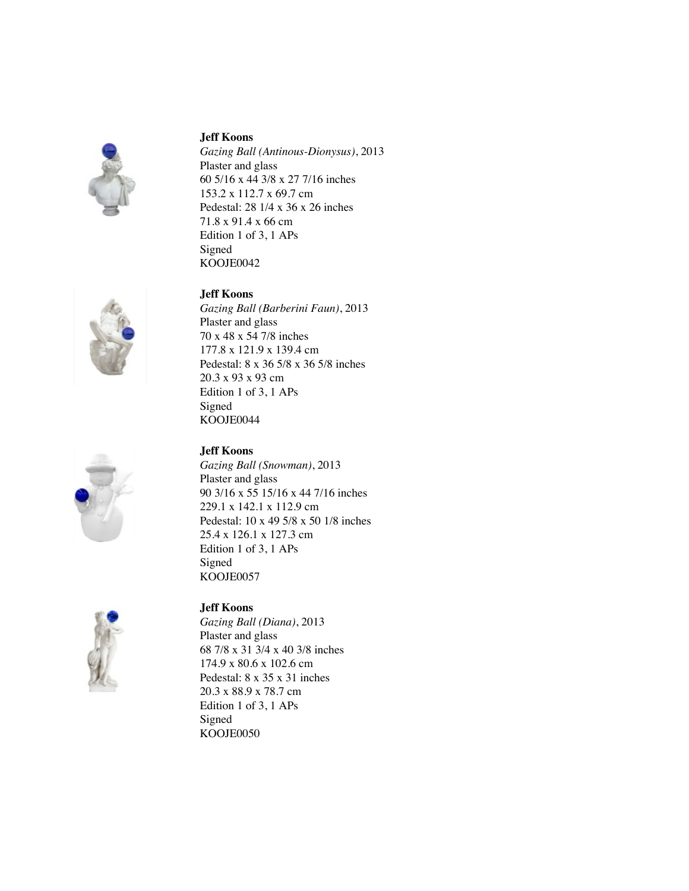





#### **Jeff Koons**

*Gazing Ball (Antinous-Dionysus)*, 2013 Plaster and glass 60 5/16 x 44 3/8 x 27 7/16 inches 153.2 x 112.7 x 69.7 cm Pedestal: 28 1/4 x 36 x 26 inches 71.8 x 91.4 x 66 cm Edition 1 of 3, 1 APs Signed KOOJE0042

#### **Jeff Koons**

*Gazing Ball (Barberini Faun)*, 2013 Plaster and glass 70 x 48 x 54 7/8 inches 177.8 x 121.9 x 139.4 cm Pedestal: 8 x 36 5/8 x 36 5/8 inches 20.3 x 93 x 93 cm Edition 1 of 3, 1 APs Signed KOOJE0044

# **Jeff Koons**

*Gazing Ball (Snowman)*, 2013 Plaster and glass 90 3/16 x 55 15/16 x 44 7/16 inches 229.1 x 142.1 x 112.9 cm Pedestal: 10 x 49 5/8 x 50 1/8 inches 25.4 x 126.1 x 127.3 cm Edition 1 of 3, 1 APs Signed KOOJE0057



## **Jeff Koons**

*Gazing Ball (Diana)*, 2013 Plaster and glass 68 7/8 x 31 3/4 x 40 3/8 inches 174.9 x 80.6 x 102.6 cm Pedestal: 8 x 35 x 31 inches 20.3 x 88.9 x 78.7 cm Edition 1 of 3, 1 APs Signed KOOJE0050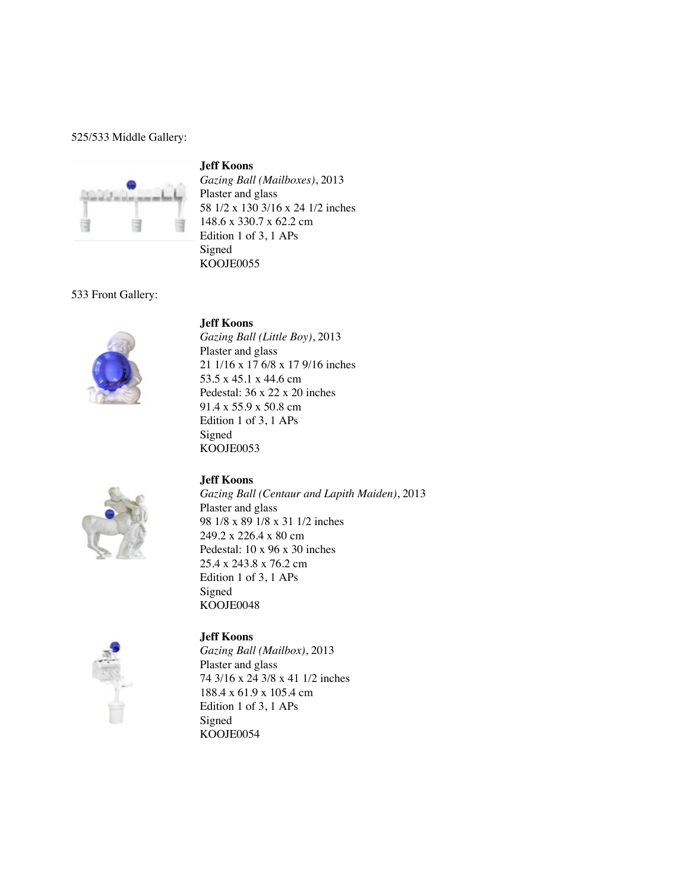525/533 Middle Gallery:

## **Jeff Koons**



*Gazing Ball (Mailboxes)*, 2013 Plaster and glass 58 1/2 x 130 3/16 x 24 1/2 inches 148.6 x 330.7 x 62.2 cm Edition 1 of 3, 1 APs Signed KOOJE0055

#### 533 Front Gallery:



**Jeff Koons** *Gazing Ball (Little Boy)*, 2013 Plaster and glass 21 1/16 x 17 6/8 x 17 9/16 inches 53.5 x 45.1 x 44.6 cm Pedestal: 36 x 22 x 20 inches 91.4 x 55.9 x 50.8 cm Edition 1 of 3, 1 APs Signed KOOJE0053

## **Jeff Koons**



*Gazing Ball (Centaur and Lapith Maiden)*, 2013 Plaster and glass 98 1/8 x 89 1/8 x 31 1/2 inches 249.2 x 226.4 x 80 cm Pedestal: 10 x 96 x 30 inches 25.4 x 243.8 x 76.2 cm Edition 1 of 3, 1 APs Signed KOOJE0048



## **Jeff Koons**

*Gazing Ball (Mailbox)*, 2013 Plaster and glass 74 3/16 x 24 3/8 x 41 1/2 inches 188.4 x 61.9 x 105.4 cm Edition 1 of 3, 1 APs Signed KOOJE0054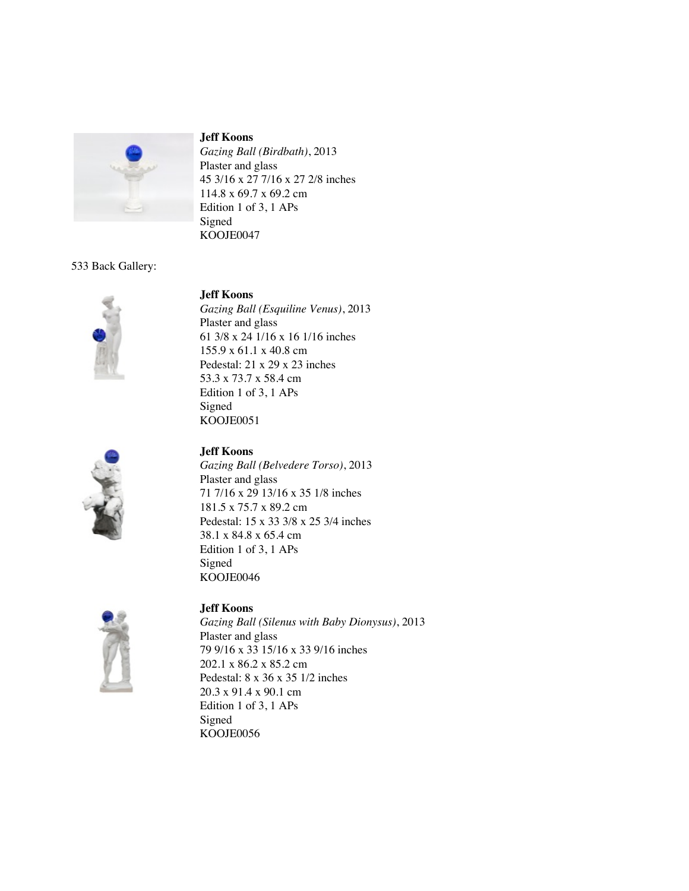

#### **Jeff Koons**

*Gazing Ball (Birdbath)*, 2013 Plaster and glass 45 3/16 x 27 7/16 x 27 2/8 inches 114.8 x 69.7 x 69.2 cm Edition 1 of 3, 1 APs Signed KOOJE0047

## 533 Back Gallery:





# **Jeff Koons**

*Gazing Ball (Esquiline Venus)*, 2013 Plaster and glass 61 3/8 x 24 1/16 x 16 1/16 inches 155.9 x 61.1 x 40.8 cm Pedestal: 21 x 29 x 23 inches 53.3 x 73.7 x 58.4 cm Edition 1 of 3, 1 APs Signed KOOJE0051

## **Jeff Koons**

*Gazing Ball (Belvedere Torso)*, 2013 Plaster and glass 71 7/16 x 29 13/16 x 35 1/8 inches 181.5 x 75.7 x 89.2 cm Pedestal: 15 x 33 3/8 x 25 3/4 inches 38.1 x 84.8 x 65.4 cm Edition 1 of 3, 1 APs Signed KOOJE0046



## **Jeff Koons**

*Gazing Ball (Silenus with Baby Dionysus)*, 2013 Plaster and glass 79 9/16 x 33 15/16 x 33 9/16 inches 202.1 x 86.2 x 85.2 cm Pedestal: 8 x 36 x 35 1/2 inches 20.3 x 91.4 x 90.1 cm Edition 1 of 3, 1 APs Signed KOOJE0056